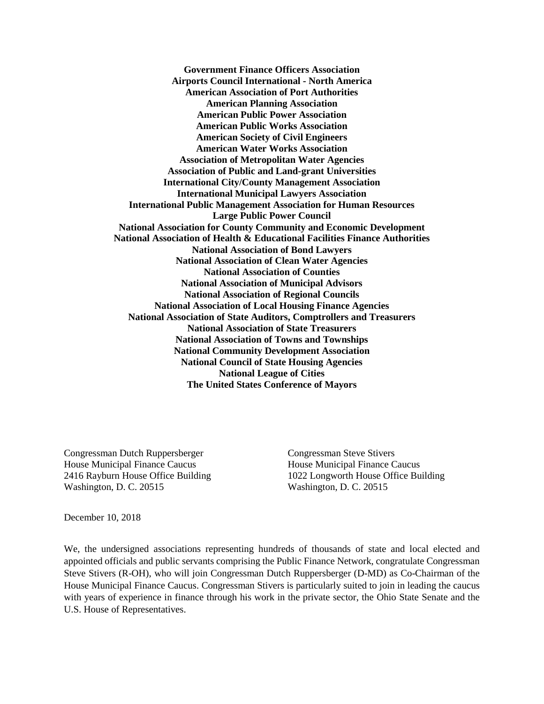**Government Finance Officers Association Airports Council International - North America American Association of Port Authorities American Planning Association American Public Power Association American Public Works Association American Society of Civil Engineers American Water Works Association Association of Metropolitan Water Agencies Association of Public and Land-grant Universities International City/County Management Association International Municipal Lawyers Association International Public Management Association for Human Resources Large Public Power Council National Association for County Community and Economic Development National Association of Health & Educational Facilities Finance Authorities National Association of Bond Lawyers National Association of Clean Water Agencies National Association of Counties National Association of Municipal Advisors National Association of Regional Councils National Association of Local Housing Finance Agencies National Association of State Auditors, Comptrollers and Treasurers National Association of State Treasurers National Association of Towns and Townships National Community Development Association National Council of State Housing Agencies National League of Cities The United States Conference of Mayors**

Congressman Dutch Ruppersberger Congressman Steve Stivers House Municipal Finance Caucus House Municipal Finance Caucus Washington, D. C. 20515 Washington, D. C. 20515

2416 Rayburn House Office Building 1022 Longworth House Office Building

December 10, 2018

We, the undersigned associations representing hundreds of thousands of state and local elected and appointed officials and public servants comprising the Public Finance Network, congratulate Congressman Steve Stivers (R-OH), who will join Congressman Dutch Ruppersberger (D-MD) as Co-Chairman of the House Municipal Finance Caucus. Congressman Stivers is particularly suited to join in leading the caucus with years of experience in finance through his work in the private sector, the Ohio State Senate and the U.S. House of Representatives.